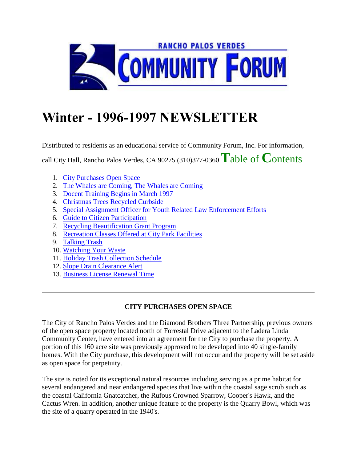

# **Winter - 1996-1997 NEWSLETTER**

Distributed to residents as an educational service of Community Forum, Inc. For information,

call City Hall, Rancho Palos Verdes, CA 90275 (310)377-0360 **T**able of **C**ontents

- 1. City Purchases Open Space
- 2. The Whales are Coming, The Whales are Coming
- 3. Docent Training Begins in March 1997
- 4. Christmas Trees Recycled Curbside
- 5. Special Assignment Officer for Youth Related Law Enforcement Efforts
- 6. Guide to Citizen Participation
- 7. Recycling Beautification Grant Program
- 8. Recreation Classes Offered at City Park Facilities
- 9. Talking Trash
- 10. Watching Your Waste
- 11. Holiday Trash Collection Schedule
- 12. Slope Drain Clearance Alert
- 13. Business License Renewal Time

# **CITY PURCHASES OPEN SPACE**

The City of Rancho Palos Verdes and the Diamond Brothers Three Partnership, previous owners of the open space property located north of Forrestal Drive adjacent to the Ladera Linda Community Center, have entered into an agreement for the City to purchase the property. A portion of this 160 acre site was previously approved to be developed into 40 single-family homes. With the City purchase, this development will not occur and the property will be set aside as open space for perpetuity.

The site is noted for its exceptional natural resources including serving as a prime habitat for several endangered and near endangered species that live within the coastal sage scrub such as the coastal California Gnatcatcher, the Rufous Crowned Sparrow, Cooper's Hawk, and the Cactus Wren. In addition, another unique feature of the property is the Quarry Bowl, which was the site of a quarry operated in the 1940's.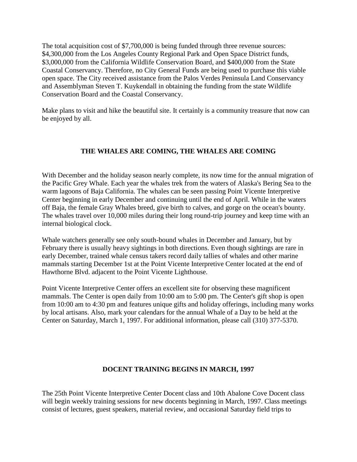The total acquisition cost of \$7,700,000 is being funded through three revenue sources: \$4,300,000 from the Los Angeles County Regional Park and Open Space District funds, \$3,000,000 from the California Wildlife Conservation Board, and \$400,000 from the State Coastal Conservancy. Therefore, no City General Funds are being used to purchase this viable open space. The City received assistance from the Palos Verdes Peninsula Land Conservancy and Assemblyman Steven T. Kuykendall in obtaining the funding from the state Wildlife Conservation Board and the Coastal Conservancy.

Make plans to visit and hike the beautiful site. It certainly is a community treasure that now can be enjoyed by all.

# **THE WHALES ARE COMING, THE WHALES ARE COMING**

With December and the holiday season nearly complete, its now time for the annual migration of the Pacific Grey Whale. Each year the whales trek from the waters of Alaska's Bering Sea to the warm lagoons of Baja California. The whales can be seen passing Point Vicente Interpretive Center beginning in early December and continuing until the end of April. While in the waters off Baja, the female Gray Whales breed, give birth to calves, and gorge on the ocean's bounty. The whales travel over 10,000 miles during their long round-trip journey and keep time with an internal biological clock.

Whale watchers generally see only south-bound whales in December and January, but by February there is usually heavy sightings in both directions. Even though sightings are rare in early December, trained whale census takers record daily tallies of whales and other marine mammals starting December 1st at the Point Vicente Interpretive Center located at the end of Hawthorne Blvd. adjacent to the Point Vicente Lighthouse.

Point Vicente Interpretive Center offers an excellent site for observing these magnificent mammals. The Center is open daily from 10:00 am to 5:00 pm. The Center's gift shop is open from 10:00 am to 4:30 pm and features unique gifts and holiday offerings, including many works by local artisans. Also, mark your calendars for the annual Whale of a Day to be held at the Center on Saturday, March 1, 1997. For additional information, please call (310) 377-5370.

## **DOCENT TRAINING BEGINS IN MARCH, 1997**

The 25th Point Vicente Interpretive Center Docent class and 10th Abalone Cove Docent class will begin weekly training sessions for new docents beginning in March, 1997. Class meetings consist of lectures, guest speakers, material review, and occasional Saturday field trips to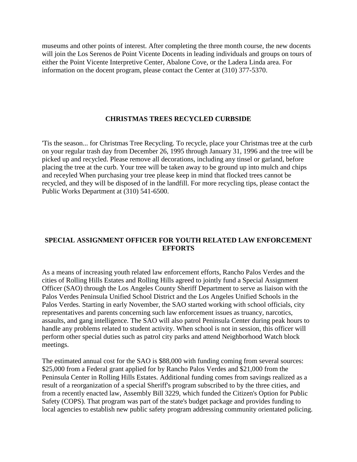museums and other points of interest. After completing the three month course, the new docents will join the Los Serenos de Point Vicente Docents in leading individuals and groups on tours of either the Point Vicente Interpretive Center, Abalone Cove, or the Ladera Linda area. For information on the docent program, please contact the Center at (310) 377-5370.

### **CHRISTMAS TREES RECYCLED CURBSIDE**

'Tis the season... for Christmas Tree Recycling. To recycle, place your Christmas tree at the curb on your regular trash day from December 26, 1995 through January 31, 1996 and the tree will be picked up and recycled. Please remove all decorations, including any tinsel or garland, before placing the tree at the curb. Your tree will be taken away to be ground up into mulch and chips and receyled When purchasing your tree please keep in mind that flocked trees cannot be recycled, and they will be disposed of in the landfill. For more recycling tips, please contact the Public Works Department at (310) 541-6500.

## **SPECIAL ASSIGNMENT OFFICER FOR YOUTH RELATED LAW ENFORCEMENT EFFORTS**

As a means of increasing youth related law enforcement efforts, Rancho Palos Verdes and the cities of Rolling Hills Estates and Rolling Hills agreed to jointly fund a Special Assignment Officer (SAO) through the Los Angeles County Sheriff Department to serve as liaison with the Palos Verdes Peninsula Unified School District and the Los Angeles Unified Schools in the Palos Verdes. Starting in early November, the SAO started working with school officials, city representatives and parents concerning such law enforcement issues as truancy, narcotics, assaults, and gang intelligence. The SAO will also patrol Peninsula Center during peak hours to handle any problems related to student activity. When school is not in session, this officer will perform other special duties such as patrol city parks and attend Neighborhood Watch block meetings.

The estimated annual cost for the SAO is \$88,000 with funding coming from several sources: \$25,000 from a Federal grant applied for by Rancho Palos Verdes and \$21,000 from the Peninsula Center in Rolling Hills Estates. Additional funding comes from savings realized as a result of a reorganization of a special Sheriff's program subscribed to by the three cities, and from a recently enacted law, Assembly Bill 3229, which funded the Citizen's Option for Public Safety (COPS). That program was part of the state's budget package and provides funding to local agencies to establish new public safety program addressing community orientated policing.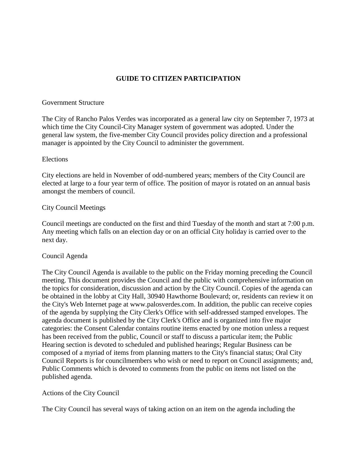# **GUIDE TO CITIZEN PARTICIPATION**

## Government Structure

The City of Rancho Palos Verdes was incorporated as a general law city on September 7, 1973 at which time the City Council-City Manager system of government was adopted. Under the general law system, the five-member City Council provides policy direction and a professional manager is appointed by the City Council to administer the government.

### Elections

City elections are held in November of odd-numbered years; members of the City Council are elected at large to a four year term of office. The position of mayor is rotated on an annual basis amongst the members of council.

### City Council Meetings

Council meetings are conducted on the first and third Tuesday of the month and start at 7:00 p.m. Any meeting which falls on an election day or on an official City holiday is carried over to the next day.

#### Council Agenda

The City Council Agenda is available to the public on the Friday morning preceding the Council meeting. This document provides the Council and the public with comprehensive information on the topics for consideration, discussion and action by the City Council. Copies of the agenda can be obtained in the lobby at City Hall, 30940 Hawthorne Boulevard; or, residents can review it on the City's Web Internet page at www.palosverdes.com. In addition, the public can receive copies of the agenda by supplying the City Clerk's Office with self-addressed stamped envelopes. The agenda document is published by the City Clerk's Office and is organized into five major categories: the Consent Calendar contains routine items enacted by one motion unless a request has been received from the public, Council or staff to discuss a particular item; the Public Hearing section is devoted to scheduled and published hearings; Regular Business can be composed of a myriad of items from planning matters to the City's financial status; Oral City Council Reports is for councilmembers who wish or need to report on Council assignments; and, Public Comments which is devoted to comments from the public on items not listed on the published agenda.

## Actions of the City Council

The City Council has several ways of taking action on an item on the agenda including the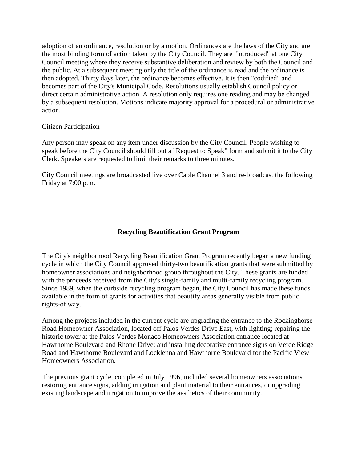adoption of an ordinance, resolution or by a motion. Ordinances are the laws of the City and are the most binding form of action taken by the City Council. They are "introduced" at one City Council meeting where they receive substantive deliberation and review by both the Council and the public. At a subsequent meeting only the title of the ordinance is read and the ordinance is then adopted. Thirty days later, the ordinance becomes effective. It is then "codified" and becomes part of the City's Municipal Code. Resolutions usually establish Council policy or direct certain administrative action. A resolution only requires one reading and may be changed by a subsequent resolution. Motions indicate majority approval for a procedural or administrative action.

## Citizen Participation

Any person may speak on any item under discussion by the City Council. People wishing to speak before the City Council should fill out a "Request to Speak" form and submit it to the City Clerk. Speakers are requested to limit their remarks to three minutes.

City Council meetings are broadcasted live over Cable Channel 3 and re-broadcast the following Friday at 7:00 p.m.

## **Recycling Beautification Grant Program**

The City's neighborhood Recycling Beautification Grant Program recently began a new funding cycle in which the City Council approved thirty-two beautification grants that were submitted by homeowner associations and neighborhood group throughout the City. These grants are funded with the proceeds received from the City's single-family and multi-family recycling program. Since 1989, when the curbside recycling program began, the City Council has made these funds available in the form of grants for activities that beautify areas generally visible from public rights-of way.

Among the projects included in the current cycle are upgrading the entrance to the Rockinghorse Road Homeowner Association, located off Palos Verdes Drive East, with lighting; repairing the historic tower at the Palos Verdes Monaco Homeowners Association entrance located at Hawthorne Boulevard and Rhone Drive; and installing decorative entrance signs on Verde Ridge Road and Hawthorne Boulevard and Locklenna and Hawthorne Boulevard for the Pacific View Homeowners Association.

The previous grant cycle, completed in July 1996, included several homeowners associations restoring entrance signs, adding irrigation and plant material to their entrances, or upgrading existing landscape and irrigation to improve the aesthetics of their community.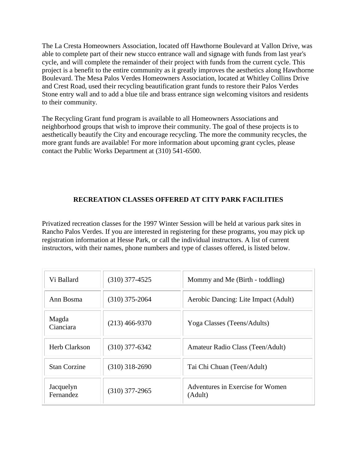The La Cresta Homeowners Association, located off Hawthorne Boulevard at Vallon Drive, was able to complete part of their new stucco entrance wall and signage with funds from last year's cycle, and will complete the remainder of their project with funds from the current cycle. This project is a benefit to the entire community as it greatly improves the aesthetics along Hawthorne Boulevard. The Mesa Palos Verdes Homeowners Association, located at Whitley Collins Drive and Crest Road, used their recycling beautification grant funds to restore their Palos Verdes Stone entry wall and to add a blue tile and brass entrance sign welcoming visitors and residents to their community.

The Recycling Grant fund program is available to all Homeowners Associations and neighborhood groups that wish to improve their community. The goal of these projects is to aesthetically beautify the City and encourage recycling. The more the community recycles, the more grant funds are available! For more information about upcoming grant cycles, please contact the Public Works Department at (310) 541-6500.

## **RECREATION CLASSES OFFERED AT CITY PARK FACILITIES**

Privatized recreation classes for the 1997 Winter Session will be held at various park sites in Rancho Palos Verdes. If you are interested in registering for these programs, you may pick up registration information at Hesse Park, or call the individual instructors. A list of current instructors, with their names, phone numbers and type of classes offered, is listed below.

| Vi Ballard             | $(310)$ 377-4525 | Mommy and Me (Birth - toddling)             |
|------------------------|------------------|---------------------------------------------|
| Ann Bosma              | $(310)$ 375-2064 | Aerobic Dancing: Lite Impact (Adult)        |
| Magda<br>Cianciara     | $(213)$ 466-9370 | Yoga Classes (Teens/Adults)                 |
| <b>Herb Clarkson</b>   | $(310)$ 377-6342 | Amateur Radio Class (Teen/Adult)            |
| <b>Stan Corzine</b>    | $(310)$ 318-2690 | Tai Chi Chuan (Teen/Adult)                  |
| Jacquelyn<br>Fernandez | $(310)$ 377-2965 | Adventures in Exercise for Women<br>(Adult) |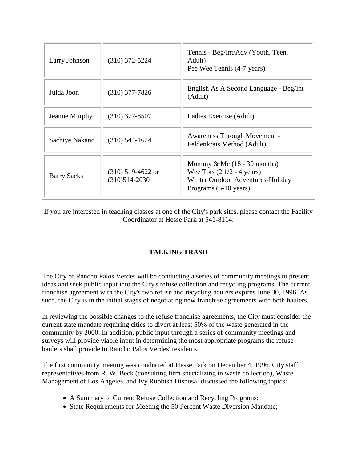| Larry Johnson      | $(310)$ 372-5224                         | Tennis - Beg/Int/Adv (Youth, Teen,<br>Adult)<br>Pee Wee Tennis (4-7 years)                                                                  |
|--------------------|------------------------------------------|---------------------------------------------------------------------------------------------------------------------------------------------|
| Julda Joon         | $(310)$ 377-7826                         | English As A Second Language - Beg/Int<br>(Adult)                                                                                           |
| Jeanne Murphy      | $(310)$ 377-8507                         | Ladies Exercise (Adult)                                                                                                                     |
| Sachiye Nakano     | $(310) 544 - 1624$                       | Awareness Through Movement -<br>Feldenkrais Method (Adult)                                                                                  |
| <b>Barry Sacks</b> | $(310)$ 519-4622 or<br>$(310)514 - 2030$ | Mommy $&$ Me (18 - 30 months)<br>Wee Tots $(2 \frac{1}{2} - 4 \text{ years})$<br>Winter Ourdoor Adventures-Holiday<br>Programs (5-10 years) |

If you are interested in teaching classes at one of the City's park sites, please contact the Facility Coordinator at Hesse Park at 541-8114.

# **TALKING TRASH**

The City of Rancho Palos Verdes will be conducting a series of community meetings to present ideas and seek public input into the City's refuse collection and recycling programs. The current franchise agreement with the City's two refuse and recycling haulers expires June 30, 1996. As such, the City is in the initial stages of negotiating new franchise agreements with both haulers.

In reviewing the possible changes to the refuse franchise agreements, the City must consider the current state mandate requiring cities to divert at least 50% of the waste generated in the community by 2000. In addition, public input through a series of community meetings and surveys will provide viable input in determining the most appropriate programs the refuse haulers shall provide to Rancho Palos Verdes' residents.

The first community meeting was conducted at Hesse Park on December 4, 1996. City staff, representatives from R. W. Beck (consulting firm specializing in waste collection), Waste Management of Los Angeles, and Ivy Rubbish Disposal discussed the following topics:

- A Summary of Current Refuse Collection and Recycling Programs;
- State Requirements for Meeting the 50 Percent Waste Diversion Mandate;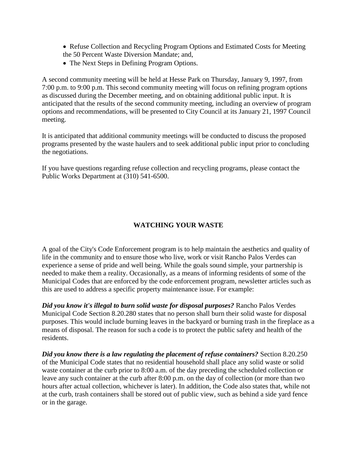- Refuse Collection and Recycling Program Options and Estimated Costs for Meeting the 50 Percent Waste Diversion Mandate; and,
- The Next Steps in Defining Program Options.

A second community meeting will be held at Hesse Park on Thursday, January 9, 1997, from 7:00 p.m. to 9:00 p.m. This second community meeting will focus on refining program options as discussed during the December meeting, and on obtaining additional public input. It is anticipated that the results of the second community meeting, including an overview of program options and recommendations, will be presented to City Council at its January 21, 1997 Council meeting.

It is anticipated that additional community meetings will be conducted to discuss the proposed programs presented by the waste haulers and to seek additional public input prior to concluding the negotiations.

If you have questions regarding refuse collection and recycling programs, please contact the Public Works Department at (310) 541-6500.

# **WATCHING YOUR WASTE**

A goal of the City's Code Enforcement program is to help maintain the aesthetics and quality of life in the community and to ensure those who live, work or visit Rancho Palos Verdes can experience a sense of pride and well being. While the goals sound simple, your partnership is needed to make them a reality. Occasionally, as a means of informing residents of some of the Municipal Codes that are enforced by the code enforcement program, newsletter articles such as this are used to address a specific property maintenance issue. For example:

*Did you know it's illegal to burn solid waste for disposal purposes?* Rancho Palos Verdes Municipal Code Section 8.20.280 states that no person shall burn their solid waste for disposal purposes. This would include burning leaves in the backyard or burning trash in the fireplace as a means of disposal. The reason for such a code is to protect the public safety and health of the residents.

*Did you know there is a law regulating the placement of refuse containers?* Section 8.20.250 of the Municipal Code states that no residential household shall place any solid waste or solid waste container at the curb prior to 8:00 a.m. of the day preceding the scheduled collection or leave any such container at the curb after 8:00 p.m. on the day of collection (or more than two hours after actual collection, whichever is later). In addition, the Code also states that, while not at the curb, trash containers shall be stored out of public view, such as behind a side yard fence or in the garage.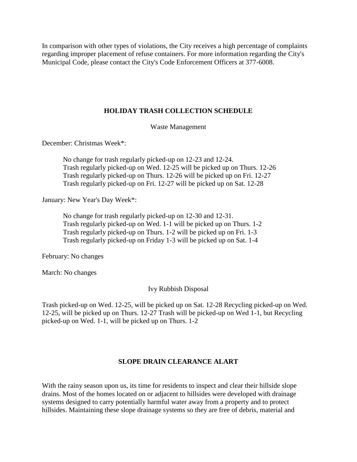In comparison with other types of violations, the City receives a high percentage of complaints regarding improper placement of refuse containers. For more information regarding the City's Municipal Code, please contact the City's Code Enforcement Officers at 377-6008.

## **HOLIDAY TRASH COLLECTION SCHEDULE**

Waste Management

December: Christmas Week\*:

No change for trash regularly picked-up on 12-23 and 12-24. Trash regularly picked-up on Wed. 12-25 will be picked up on Thurs. 12-26 Trash regularly picked-up on Thurs. 12-26 will be picked up on Fri. 12-27 Trash regularly picked-up on Fri. 12-27 will be picked up on Sat. 12-28

January: New Year's Day Week\*:

No change for trash regularly picked-up on 12-30 and 12-31. Trash regularly picked-up on Wed. 1-1 will be picked up on Thurs. 1-2 Trash regularly picked-up on Thurs. 1-2 will be picked up on Fri. 1-3 Trash regularly picked-up on Friday 1-3 will be picked up on Sat. 1-4

February: No changes

March: No changes

#### Ivy Rubbish Disposal

Trash picked-up on Wed. 12-25, will be picked up on Sat. 12-28 Recycling picked-up on Wed. 12-25, will be picked up on Thurs. 12-27 Trash will be picked-up on Wed 1-1, but Recycling picked-up on Wed. 1-1, will be picked up on Thurs. 1-2

#### **SLOPE DRAIN CLEARANCE ALART**

With the rainy season upon us, its time for residents to inspect and clear their hillside slope drains. Most of the homes located on or adjacent to hillsides were developed with drainage systems designed to carry potentially harmful water away from a property and to protect hillsides. Maintaining these slope drainage systems so they are free of debris, material and